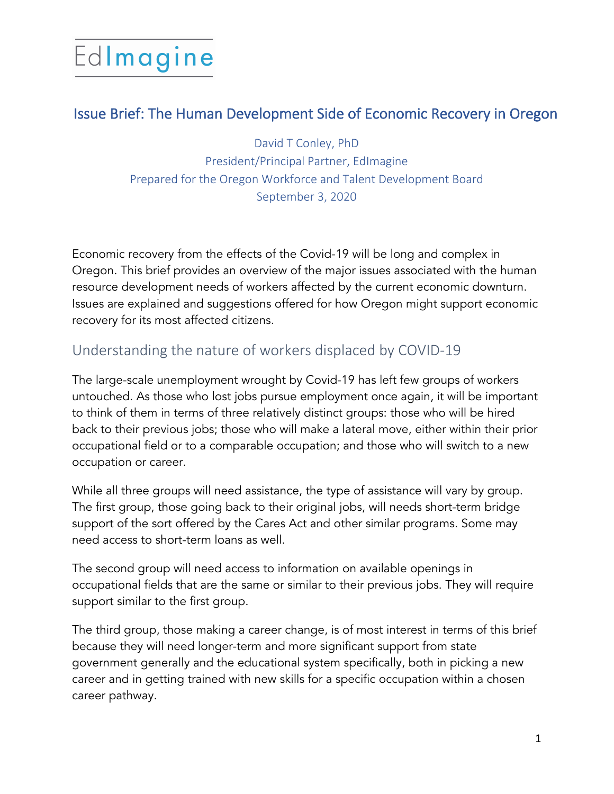# Edlmagine

### Issue Brief: The Human Development Side of Economic Recovery in Oregon

David T Conley, PhD President/Principal Partner, EdImagine Prepared for the Oregon Workforce and Talent Development Board September 3, 2020

Economic recovery from the effects of the Covid-19 will be long and complex in Oregon. This brief provides an overview of the major issues associated with the human resource development needs of workers affected by the current economic downturn. Issues are explained and suggestions offered for how Oregon might support economic recovery for its most affected citizens.

### Understanding the nature of workers displaced by COVID-19

The large-scale unemployment wrought by Covid-19 has left few groups of workers untouched. As those who lost jobs pursue employment once again, it will be important to think of them in terms of three relatively distinct groups: those who will be hired back to their previous jobs; those who will make a lateral move, either within their prior occupational field or to a comparable occupation; and those who will switch to a new occupation or career.

While all three groups will need assistance, the type of assistance will vary by group. The first group, those going back to their original jobs, will needs short-term bridge support of the sort offered by the Cares Act and other similar programs. Some may need access to short-term loans as well.

The second group will need access to information on available openings in occupational fields that are the same or similar to their previous jobs. They will require support similar to the first group.

The third group, those making a career change, is of most interest in terms of this brief because they will need longer-term and more significant support from state government generally and the educational system specifically, both in picking a new career and in getting trained with new skills for a specific occupation within a chosen career pathway.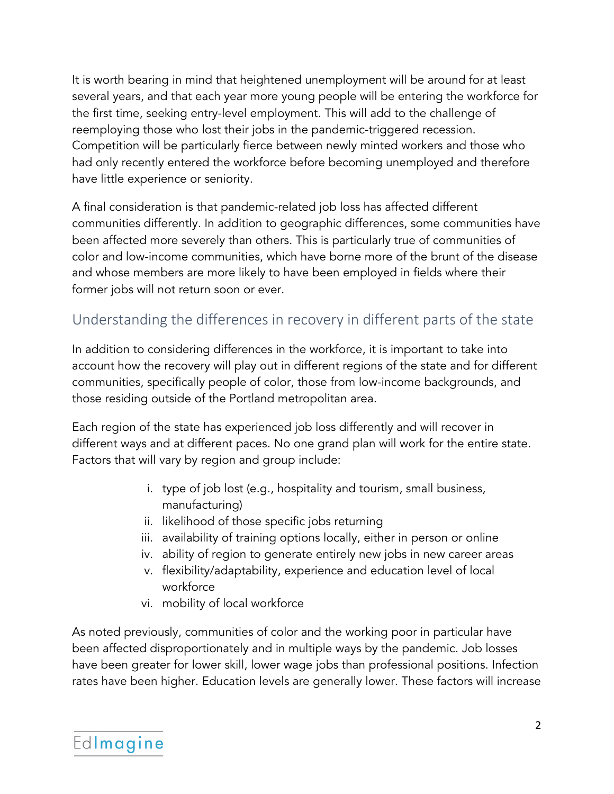It is worth bearing in mind that heightened unemployment will be around for at least several years, and that each year more young people will be entering the workforce for the first time, seeking entry-level employment. This will add to the challenge of reemploying those who lost their jobs in the pandemic-triggered recession. Competition will be particularly fierce between newly minted workers and those who had only recently entered the workforce before becoming unemployed and therefore have little experience or seniority.

A final consideration is that pandemic-related job loss has affected different communities differently. In addition to geographic differences, some communities have been affected more severely than others. This is particularly true of communities of color and low-income communities, which have borne more of the brunt of the disease and whose members are more likely to have been employed in fields where their former jobs will not return soon or ever.

### Understanding the differences in recovery in different parts of the state

In addition to considering differences in the workforce, it is important to take into account how the recovery will play out in different regions of the state and for different communities, specifically people of color, those from low-income backgrounds, and those residing outside of the Portland metropolitan area.

Each region of the state has experienced job loss differently and will recover in different ways and at different paces. No one grand plan will work for the entire state. Factors that will vary by region and group include:

- i. type of job lost (e.g., hospitality and tourism, small business, manufacturing)
- ii. likelihood of those specific jobs returning
- iii. availability of training options locally, either in person or online
- iv. ability of region to generate entirely new jobs in new career areas
- v. flexibility/adaptability, experience and education level of local workforce
- vi. mobility of local workforce

As noted previously, communities of color and the working poor in particular have been affected disproportionately and in multiple ways by the pandemic. Job losses have been greater for lower skill, lower wage jobs than professional positions. Infection rates have been higher. Education levels are generally lower. These factors will increase

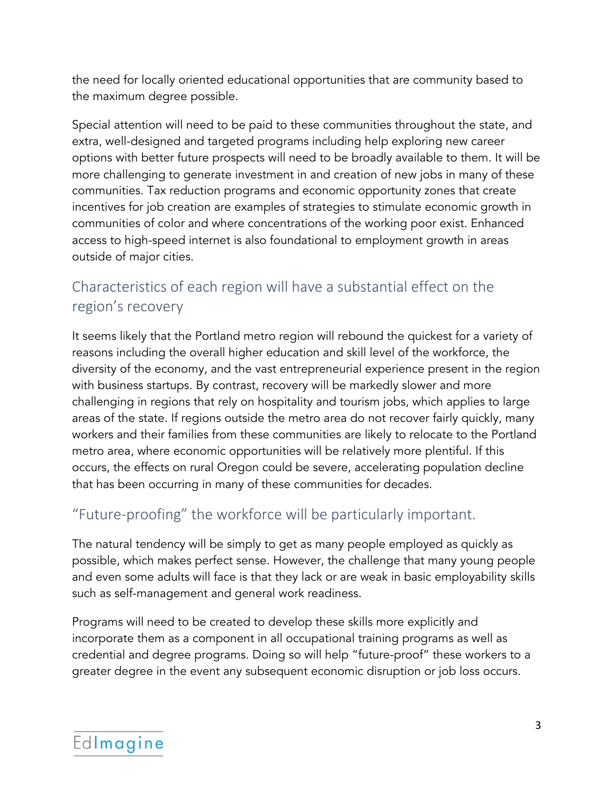the need for locally oriented educational opportunities that are community based to the maximum degree possible.

Special attention will need to be paid to these communities throughout the state, and extra, well-designed and targeted programs including help exploring new career options with better future prospects will need to be broadly available to them. It will be more challenging to generate investment in and creation of new jobs in many of these communities. Tax reduction programs and economic opportunity zones that create incentives for job creation are examples of strategies to stimulate economic growth in communities of color and where concentrations of the working poor exist. Enhanced access to high-speed internet is also foundational to employment growth in areas outside of major cities.

# Characteristics of each region will have a substantial effect on the region's recovery

It seems likely that the Portland metro region will rebound the quickest for a variety of reasons including the overall higher education and skill level of the workforce, the diversity of the economy, and the vast entrepreneurial experience present in the region with business startups. By contrast, recovery will be markedly slower and more challenging in regions that rely on hospitality and tourism jobs, which applies to large areas of the state. If regions outside the metro area do not recover fairly quickly, many workers and their families from these communities are likely to relocate to the Portland metro area, where economic opportunities will be relatively more plentiful. If this occurs, the effects on rural Oregon could be severe, accelerating population decline that has been occurring in many of these communities for decades.

## "Future-proofing" the workforce will be particularly important.

The natural tendency will be simply to get as many people employed as quickly as possible, which makes perfect sense. However, the challenge that many young people and even some adults will face is that they lack or are weak in basic employability skills such as self-management and general work readiness.

Programs will need to be created to develop these skills more explicitly and incorporate them as a component in all occupational training programs as well as credential and degree programs. Doing so will help "future-proof" these workers to a greater degree in the event any subsequent economic disruption or job loss occurs.

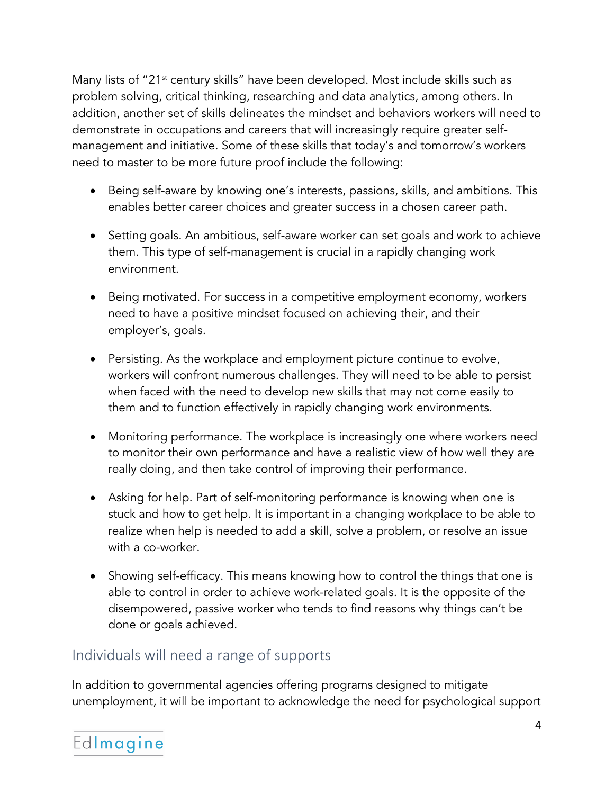Many lists of "21<sup>st</sup> century skills" have been developed. Most include skills such as problem solving, critical thinking, researching and data analytics, among others. In addition, another set of skills delineates the mindset and behaviors workers will need to demonstrate in occupations and careers that will increasingly require greater selfmanagement and initiative. Some of these skills that today's and tomorrow's workers need to master to be more future proof include the following:

- Being self-aware by knowing one's interests, passions, skills, and ambitions. This enables better career choices and greater success in a chosen career path.
- Setting goals. An ambitious, self-aware worker can set goals and work to achieve them. This type of self-management is crucial in a rapidly changing work environment.
- Being motivated. For success in a competitive employment economy, workers need to have a positive mindset focused on achieving their, and their employer's, goals.
- Persisting. As the workplace and employment picture continue to evolve, workers will confront numerous challenges. They will need to be able to persist when faced with the need to develop new skills that may not come easily to them and to function effectively in rapidly changing work environments.
- Monitoring performance. The workplace is increasingly one where workers need to monitor their own performance and have a realistic view of how well they are really doing, and then take control of improving their performance.
- Asking for help. Part of self-monitoring performance is knowing when one is stuck and how to get help. It is important in a changing workplace to be able to realize when help is needed to add a skill, solve a problem, or resolve an issue with a co-worker.
- Showing self-efficacy. This means knowing how to control the things that one is able to control in order to achieve work-related goals. It is the opposite of the disempowered, passive worker who tends to find reasons why things can't be done or goals achieved.

#### Individuals will need a range of supports

In addition to governmental agencies offering programs designed to mitigate unemployment, it will be important to acknowledge the need for psychological support

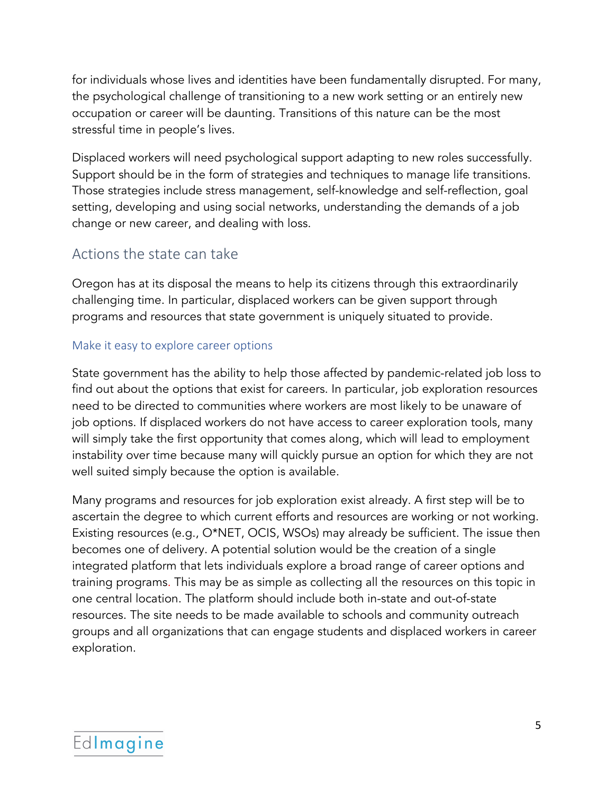for individuals whose lives and identities have been fundamentally disrupted. For many, the psychological challenge of transitioning to a new work setting or an entirely new occupation or career will be daunting. Transitions of this nature can be the most stressful time in people's lives.

Displaced workers will need psychological support adapting to new roles successfully. Support should be in the form of strategies and techniques to manage life transitions. Those strategies include stress management, self-knowledge and self-reflection, goal setting, developing and using social networks, understanding the demands of a job change or new career, and dealing with loss.

#### Actions the state can take

Oregon has at its disposal the means to help its citizens through this extraordinarily challenging time. In particular, displaced workers can be given support through programs and resources that state government is uniquely situated to provide.

#### Make it easy to explore career options

State government has the ability to help those affected by pandemic-related job loss to find out about the options that exist for careers. In particular, job exploration resources need to be directed to communities where workers are most likely to be unaware of job options. If displaced workers do not have access to career exploration tools, many will simply take the first opportunity that comes along, which will lead to employment instability over time because many will quickly pursue an option for which they are not well suited simply because the option is available.

Many programs and resources for job exploration exist already. A first step will be to ascertain the degree to which current efforts and resources are working or not working. Existing resources (e.g., O\*NET, OCIS, WSOs) may already be sufficient. The issue then becomes one of delivery. A potential solution would be the creation of a single integrated platform that lets individuals explore a broad range of career options and training programs. This may be as simple as collecting all the resources on this topic in one central location. The platform should include both in-state and out-of-state resources. The site needs to be made available to schools and community outreach groups and all organizations that can engage students and displaced workers in career exploration.

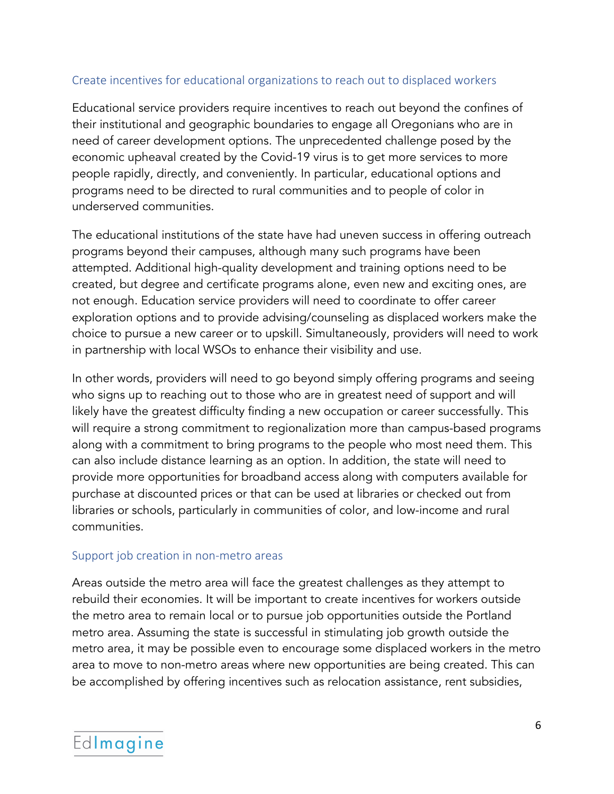#### Create incentives for educational organizations to reach out to displaced workers

Educational service providers require incentives to reach out beyond the confines of their institutional and geographic boundaries to engage all Oregonians who are in need of career development options. The unprecedented challenge posed by the economic upheaval created by the Covid-19 virus is to get more services to more people rapidly, directly, and conveniently. In particular, educational options and programs need to be directed to rural communities and to people of color in underserved communities.

The educational institutions of the state have had uneven success in offering outreach programs beyond their campuses, although many such programs have been attempted. Additional high-quality development and training options need to be created, but degree and certificate programs alone, even new and exciting ones, are not enough. Education service providers will need to coordinate to offer career exploration options and to provide advising/counseling as displaced workers make the choice to pursue a new career or to upskill. Simultaneously, providers will need to work in partnership with local WSOs to enhance their visibility and use.

In other words, providers will need to go beyond simply offering programs and seeing who signs up to reaching out to those who are in greatest need of support and will likely have the greatest difficulty finding a new occupation or career successfully. This will require a strong commitment to regionalization more than campus-based programs along with a commitment to bring programs to the people who most need them. This can also include distance learning as an option. In addition, the state will need to provide more opportunities for broadband access along with computers available for purchase at discounted prices or that can be used at libraries or checked out from libraries or schools, particularly in communities of color, and low-income and rural communities.

#### Support job creation in non-metro areas

Areas outside the metro area will face the greatest challenges as they attempt to rebuild their economies. It will be important to create incentives for workers outside the metro area to remain local or to pursue job opportunities outside the Portland metro area. Assuming the state is successful in stimulating job growth outside the metro area, it may be possible even to encourage some displaced workers in the metro area to move to non-metro areas where new opportunities are being created. This can be accomplished by offering incentives such as relocation assistance, rent subsidies,

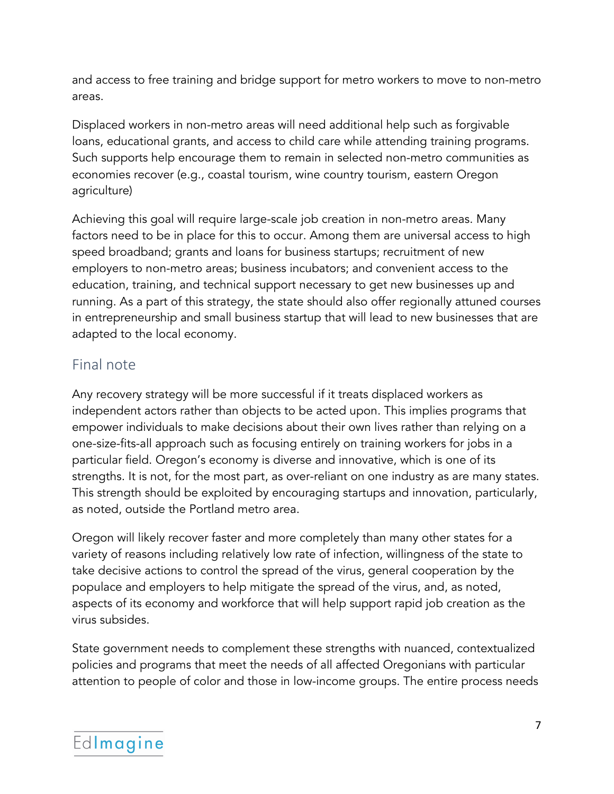and access to free training and bridge support for metro workers to move to non-metro areas.

Displaced workers in non-metro areas will need additional help such as forgivable loans, educational grants, and access to child care while attending training programs. Such supports help encourage them to remain in selected non-metro communities as economies recover (e.g., coastal tourism, wine country tourism, eastern Oregon agriculture)

Achieving this goal will require large-scale job creation in non-metro areas. Many factors need to be in place for this to occur. Among them are universal access to high speed broadband; grants and loans for business startups; recruitment of new employers to non-metro areas; business incubators; and convenient access to the education, training, and technical support necessary to get new businesses up and running. As a part of this strategy, the state should also offer regionally attuned courses in entrepreneurship and small business startup that will lead to new businesses that are adapted to the local economy.

#### Final note

Any recovery strategy will be more successful if it treats displaced workers as independent actors rather than objects to be acted upon. This implies programs that empower individuals to make decisions about their own lives rather than relying on a one-size-fits-all approach such as focusing entirely on training workers for jobs in a particular field. Oregon's economy is diverse and innovative, which is one of its strengths. It is not, for the most part, as over-reliant on one industry as are many states. This strength should be exploited by encouraging startups and innovation, particularly, as noted, outside the Portland metro area.

Oregon will likely recover faster and more completely than many other states for a variety of reasons including relatively low rate of infection, willingness of the state to take decisive actions to control the spread of the virus, general cooperation by the populace and employers to help mitigate the spread of the virus, and, as noted, aspects of its economy and workforce that will help support rapid job creation as the virus subsides.

State government needs to complement these strengths with nuanced, contextualized policies and programs that meet the needs of all affected Oregonians with particular attention to people of color and those in low-income groups. The entire process needs

# Edlmagine